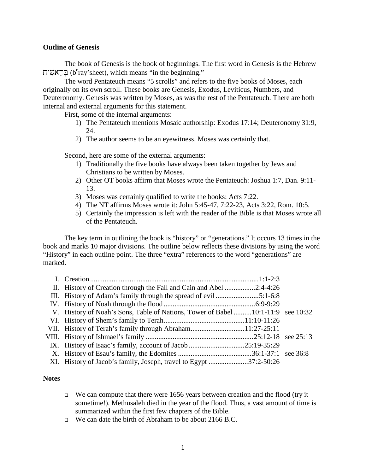## **Outline of Genesis**

The book of Genesis is the book of beginnings. The first word in Genesis is the Hebrew בְּרֵאשִׁית (b $\mathrm{e}^\mathrm{e}$ ray'sheet), which means "in the beginning."

The word Pentateuch means "5 scrolls" and refers to the five books of Moses, each originally on its own scroll. These books are Genesis, Exodus, Leviticus, Numbers, and Deuteronomy. Genesis was written by Moses, as was the rest of the Pentateuch. There are both internal and external arguments for this statement.

First, some of the internal arguments:

- 1) The Pentateuch mentions Mosaic authorship: Exodus 17:14; Deuteronomy 31:9, 24.
- 2) The author seems to be an eyewitness. Moses was certainly that.

Second, here are some of the external arguments:

- 1) Traditionally the five books have always been taken together by Jews and Christians to be written by Moses.
- 2) Other OT books affirm that Moses wrote the Pentateuch: Joshua 1:7, Dan. 9:11- 13.
- 3) Moses was certainly qualified to write the books: Acts 7:22.
- 4) The NT affirms Moses wrote it: John 5:45-47, 7:22-23, Acts 3:22, Rom. 10:5.
- 5) Certainly the impression is left with the reader of the Bible is that Moses wrote all of the Pentateuch.

The key term in outlining the book is "history" or "generations." It occurs 13 times in the book and marks 10 major divisions. The outline below reflects these divisions by using the word "History" in each outline point. The three "extra" references to the word "generations" are marked.

| II. History of Creation through the Fall and Cain and Abel 2:4-4:26              |  |
|----------------------------------------------------------------------------------|--|
|                                                                                  |  |
|                                                                                  |  |
| V. History of Noah's Sons, Table of Nations, Tower of Babel  10:1-11:9 see 10:32 |  |
|                                                                                  |  |
|                                                                                  |  |
|                                                                                  |  |
|                                                                                  |  |
|                                                                                  |  |
| XI. History of Jacob's family, Joseph, travel to Egypt 37:2-50:26                |  |

## **Notes**

- $\Box$  We can compute that there were 1656 years between creation and the flood (try it sometime!). Methusaleh died in the year of the flood. Thus, a vast amount of time is summarized within the first few chapters of the Bible.
- We can date the birth of Abraham to be about 2166 B.C.